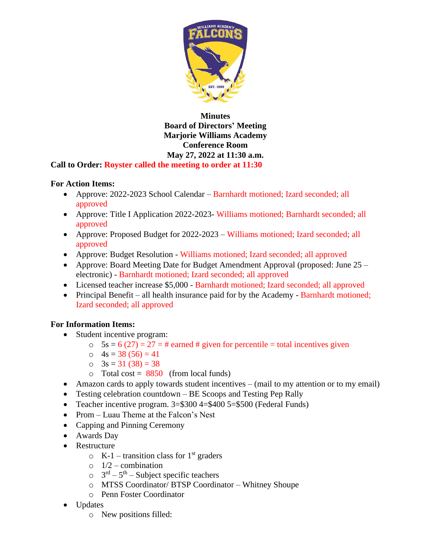

## **Minutes Board of Directors' Meeting Marjorie Williams Academy Conference Room May 27, 2022 at 11:30 a.m. Call to Order: Royster called the meeting to order at 11:30**

## **For Action Items:**

- Approve: 2022-2023 School Calendar Barnhardt motioned; Izard seconded; all approved
- Approve: Title I Application 2022-2023- Williams motioned; Barnhardt seconded; all approved
- Approve: Proposed Budget for 2022-2023 Williams motioned; Izard seconded; all approved
- Approve: Budget Resolution Williams motioned; Izard seconded; all approved
- Approve: Board Meeting Date for Budget Amendment Approval (proposed: June 25 electronic) - Barnhardt motioned; Izard seconded; all approved
- Licensed teacher increase \$5,000 Barnhardt motioned; Izard seconded; all approved
- Principal Benefit all health insurance paid for by the Academy Barnhardt motioned; Izard seconded; all approved

## **For Information Items:**

- Student incentive program:
	- $5s = 6 (27) = 27 = #$  earned # given for percentile = total incentives given
	- $\circ$  4s = 38 (56) = 41
	- $\circ$  3s = 31 (38) = 38
	- $\circ$  Total cost = 8850 (from local funds)
- Amazon cards to apply towards student incentives (mail to my attention or to my email)
- Testing celebration countdown BE Scoops and Testing Pep Rally
- Teacher incentive program. 3=\$300 4=\$400 5=\$500 (Federal Funds)
- Prom Luau Theme at the Falcon's Nest
- Capping and Pinning Ceremony
- Awards Day
- Restructure
	- $\circ$  K-1 transition class for 1<sup>st</sup> graders
	- $\circ$  1/2 combination
	- $5^{\text{rd}} 5^{\text{th}} -$  Subject specific teachers
	- o MTSS Coordinator/ BTSP Coordinator Whitney Shoupe
	- o Penn Foster Coordinator
- Updates
	- o New positions filled: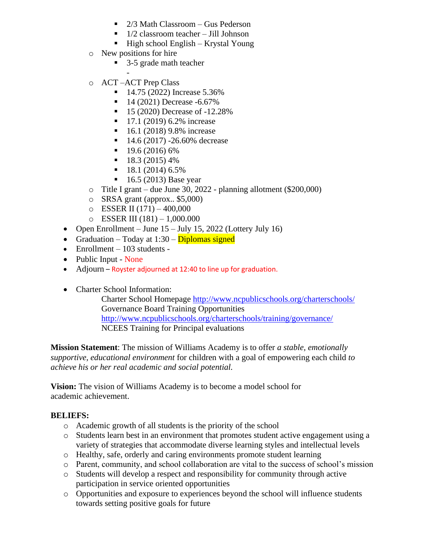- $\blacksquare$  2/3 Math Classroom Gus Pederson
- $\blacksquare$  1/2 classroom teacher Jill Johnson
- $\blacksquare$  High school English Krystal Young
- o New positions for hire
	- 3-5 grade math teacher
- o ACT –ACT Prep Class
	- $\blacksquare$  14.75 (2022) Increase 5.36%
	- 14 (2021) Decrease -6.67%
	- 15 (2020) Decrease of -12.28%
	- 17.1 (2019) 6.2% increase
	- 16.1 (2018) 9.8% increase
	- 14.6 (2017) -26.60% decrease
	- $\blacksquare$  19.6 (2016) 6%
	- $\blacksquare$  18.3 (2015) 4%
	- $\blacksquare$  18.1 (2014) 6.5%
	- $\blacksquare$  16.5 (2013) Base year
- o Title I grant due June 30, 2022 planning allotment (\$200,000)
- o SRSA grant (approx.. \$5,000)
- $O$  ESSER II (171) 400,000
- $O$  ESSER III (181) 1,000.000
- Open Enrollment June  $15$  July 15, 2022 (Lottery July 16)
- Graduation Today at  $1:30$  Diplomas signed
- Enrollment  $-103$  students -
- Public Input None
- Adjourn Royster adjourned at 12:40 to line up for graduation.
- Charter School Information:

Charter School Homepage<http://www.ncpublicschools.org/charterschools/> Governance Board Training Opportunities <http://www.ncpublicschools.org/charterschools/training/governance/> NCEES Training for Principal evaluations

**Mission Statement**: The mission of Williams Academy is to offer *a stable, emotionally supportive, educational environment* for children with a goal of empowering each child *to achieve his or her real academic and social potential.*

**Vision:** The vision of Williams Academy is to become a model school for academic achievement.

## **BELIEFS:**

- o Academic growth of all students is the priority of the school
- o Students learn best in an environment that promotes student active engagement using a variety of strategies that accommodate diverse learning styles and intellectual levels
- o Healthy, safe, orderly and caring environments promote student learning
- o Parent, community, and school collaboration are vital to the success of school's mission
- o Students will develop a respect and responsibility for community through active participation in service oriented opportunities
- o Opportunities and exposure to experiences beyond the school will influence students towards setting positive goals for future